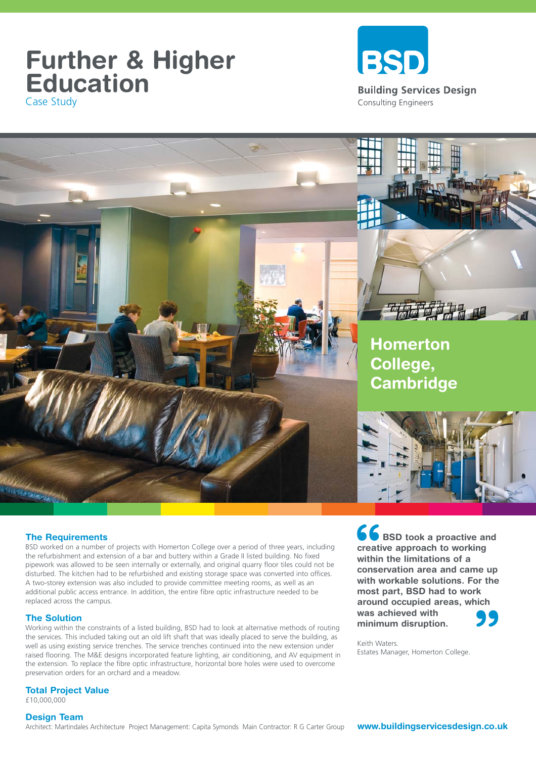## **Further & Higher Education** Case Study



**Homerton College, Cambridge**

#### **The Requirements**

BSD worked on a number of projects with Homerton College over a period of three years, including the refurbishment and extension of a bar and buttery within a Grade II listed building. No fixed pipework was allowed to be seen internally or externally, and original quarry floor tiles could not be disturbed. The kitchen had to be refurbished and existing storage space was converted into offices. A two-storey extension was also included to provide committee meeting rooms, as well as an additional public access entrance. In addition, the entire fibre optic infrastructure needed to be replaced across the campus.

#### **The Solution**

Working within the constraints of a listed building, BSD had to look at alternative methods of routing the services. This included taking out an old lift shaft that was ideally placed to serve the building, as well as using existing service trenches. The service trenches continued into the new extension under raised flooring. The M&E designs incorporated feature lighting, air conditioning, and AV equipment in the extension. To replace the fibre optic infrastructure, horizontal bore holes were used to overcome preservation orders for an orchard and a meadow.

**66**<br>creati<br>within<br>conse **" BSD took a proactive and creative approach to working within the limitations of a conservation area and came up with workable solutions. For the most part, BSD had to work around occupied areas, which was achieved with minimum disruption.** 

Keith Waters. Estates Manager, Homerton College.

### **Total Project Value**

£10,000,000

#### **Design Team**

Architect: Martindales Architecture Project Management: Capita Symonds Main Contractor: R G Carter Group